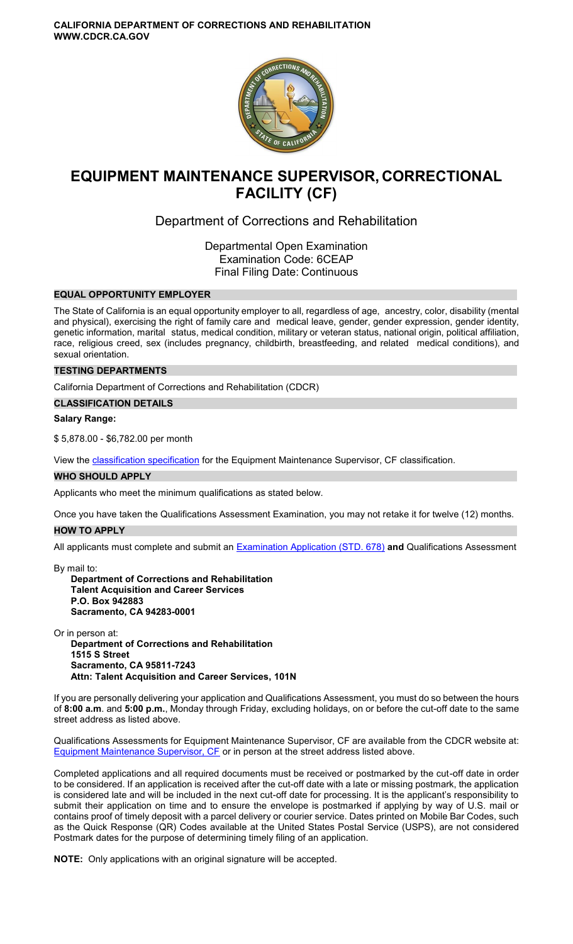

# **EQUIPMENT MAINTENANCE SUPERVISOR, CORRECTIONAL FACILITY (CF)**

## Department of Corrections and Rehabilitation

Departmental Open Examination Examination Code: 6CEAP Final Filing Date: Continuous

## **EQUAL OPPORTUNITY EMPLOYER**

The State of California is an equal opportunity employer to all, regardless of age, ancestry, color, disability (mental and physical), exercising the right of family care and medical leave, gender, gender expression, gender identity, genetic information, marital status, medical condition, military or veteran status, national origin, political affiliation, race, religious creed, sex (includes pregnancy, childbirth, breastfeeding, and related medical conditions), and sexual orientation.

## **TESTING DEPARTMENTS**

California Department of Corrections and Rehabilitation (CDCR)

**CLASSIFICATION DETAILS** 

## **Salary Range:**

\$ 5,878.00 - \$6,782.00 per month

View the [classification specification](http://www.calhr.ca.gov/state-hr-professionals/Pages/6865.aspx) for the Equipment Maintenance Supervisor, CF classification.

#### **WHO SHOULD APPLY**

Applicants who meet the minimum qualifications as stated below.

Once you have taken the Qualifications Assessment Examination, you may not retake it for twelve (12) months.

## **HOW TO APPLY**

All applicants must complete and submit an [Examination Application \(STD. 678\)](https://jobs.ca.gov/pdf/STD678.pdf) **and** Qualifications Assessment

By mail to: **Department of Corrections and Rehabilitation Talent Acquisition and Career Services P.O. Box 942883 Sacramento, CA 94283-0001** 

Or in person at: **Department of Corrections and Rehabilitation 1515 S Street Sacramento, CA 95811-7243 Attn: Talent Acquisition and Career Services, 101N** 

If you are personally delivering your application and Qualifications Assessment, you must do so between the hours of **8:00 a.m**. and **5:00 p.m.**, Monday through Friday, excluding holidays, on or before the cut-off date to the same street address as listed above.

Qualifications Assessments for Equipment Maintenance Supervisor, CF are available from the CDCR website at: [Equipment Maintenance Supervisor, CF](https://www.cdcr.ca.gov/careers/equipmaintsupqa-o-c/) or in person at the street address listed above.

Completed applications and all required documents must be received or postmarked by the cut-off date in order to be considered. If an application is received after the cut-off date with a late or missing postmark, the application is considered late and will be included in the next cut-off date for processing. It is the applicant's responsibility to submit their application on time and to ensure the envelope is postmarked if applying by way of U.S. mail or contains proof of timely deposit with a parcel delivery or courier service. Dates printed on Mobile Bar Codes, such as the Quick Response (QR) Codes available at the United States Postal Service (USPS), are not considered Postmark dates for the purpose of determining timely filing of an application.

**NOTE:** Only applications with an original signature will be accepted.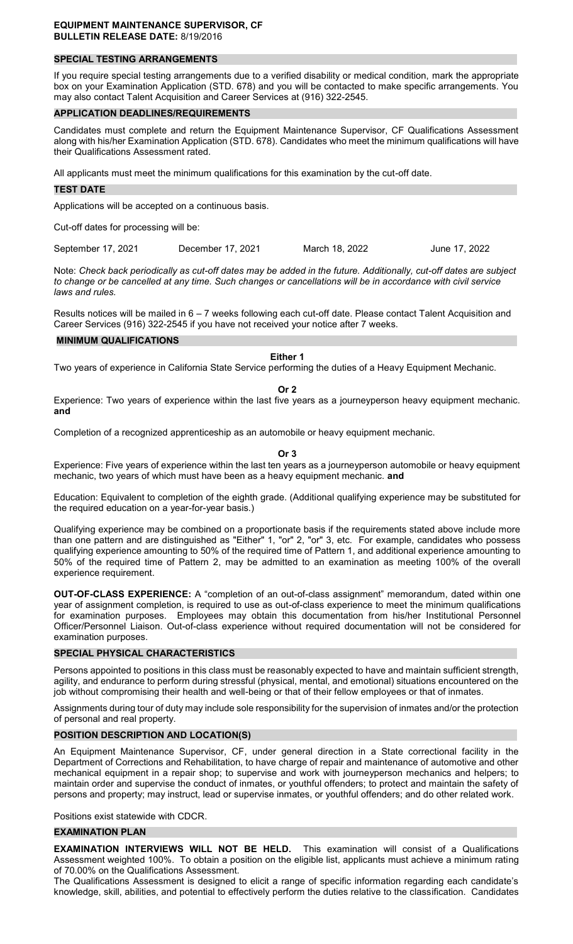#### **EQUIPMENT MAINTENANCE SUPERVISOR, CF BULLETIN RELEASE DATE:** 8/19/2016

## **SPECIAL TESTING ARRANGEMENTS**

If you require special testing arrangements due to a verified disability or medical condition, mark the appropriate box on your Examination Application (STD. 678) and you will be contacted to make specific arrangements. You may also contact Talent Acquisition and Career Services at (916) 322-2545.

#### **APPLICATION DEADLINES/REQUIREMENTS**

Candidates must complete and return the Equipment Maintenance Supervisor, CF Qualifications Assessment along with his/her Examination Application (STD. 678). Candidates who meet the minimum qualifications will have their Qualifications Assessment rated.

All applicants must meet the minimum qualifications for this examination by the cut-off date.

#### **TEST DATE**

Applications will be accepted on a continuous basis.

Cut-off dates for processing will be:

September 17, 2021 December 17, 2021 March 18, 2022 June 17, 2022

Note: *Check back periodically as cut-off dates may be added in the future. Additionally, cut-off dates are subject to change or be cancelled at any time. Such changes or cancellations will be in accordance with civil service laws and rules.* 

Results notices will be mailed in 6 – 7 weeks following each cut-off date. Please contact Talent Acquisition and Career Services (916) 322-2545 if you have not received your notice after 7 weeks.

#### **MINIMUM QUALIFICATIONS**

## **Either 1**

Two years of experience in California State Service performing the duties of a Heavy Equipment Mechanic.

## **Or 2**

Experience: Two years of experience within the last five years as a journeyperson heavy equipment mechanic. **and** 

Completion of a recognized apprenticeship as an automobile or heavy equipment mechanic.

#### **Or 3**

Experience: Five years of experience within the last ten years as a journeyperson automobile or heavy equipment mechanic, two years of which must have been as a heavy equipment mechanic. **and** 

Education: Equivalent to completion of the eighth grade. (Additional qualifying experience may be substituted for the required education on a year-for-year basis.)

Qualifying experience may be combined on a proportionate basis if the requirements stated above include more than one pattern and are distinguished as "Either" 1, "or" 2, "or" 3, etc. For example, candidates who possess qualifying experience amounting to 50% of the required time of Pattern 1, and additional experience amounting to 50% of the required time of Pattern 2, may be admitted to an examination as meeting 100% of the overall experience requirement.

**OUT-OF-CLASS EXPERIENCE:** A "completion of an out-of-class assignment" memorandum, dated within one year of assignment completion, is required to use as out-of-class experience to meet the minimum qualifications for examination purposes. Employees may obtain this documentation from his/her Institutional Personnel Officer/Personnel Liaison. Out-of-class experience without required documentation will not be considered for examination purposes.

#### **SPECIAL PHYSICAL CHARACTERISTICS**

Persons appointed to positions in this class must be reasonably expected to have and maintain sufficient strength, agility, and endurance to perform during stressful (physical, mental, and emotional) situations encountered on the job without compromising their health and well-being or that of their fellow employees or that of inmates.

Assignments during tour of duty may include sole responsibility for the supervision of inmates and/or the protection of personal and real property.

## **POSITION DESCRIPTION AND LOCATION(S)**

An Equipment Maintenance Supervisor, CF, under general direction in a State correctional facility in the Department of Corrections and Rehabilitation, to have charge of repair and maintenance of automotive and other mechanical equipment in a repair shop; to supervise and work with journeyperson mechanics and helpers; to maintain order and supervise the conduct of inmates, or youthful offenders; to protect and maintain the safety of persons and property; may instruct, lead or supervise inmates, or youthful offenders; and do other related work.

Positions exist statewide with CDCR.

#### **EXAMINATION PLAN**

**EXAMINATION INTERVIEWS WILL NOT BE HELD.** This examination will consist of a Qualifications Assessment weighted 100%. To obtain a position on the eligible list, applicants must achieve a minimum rating of 70.00% on the Qualifications Assessment.

The Qualifications Assessment is designed to elicit a range of specific information regarding each candidate's knowledge, skill, abilities, and potential to effectively perform the duties relative to the classification. Candidates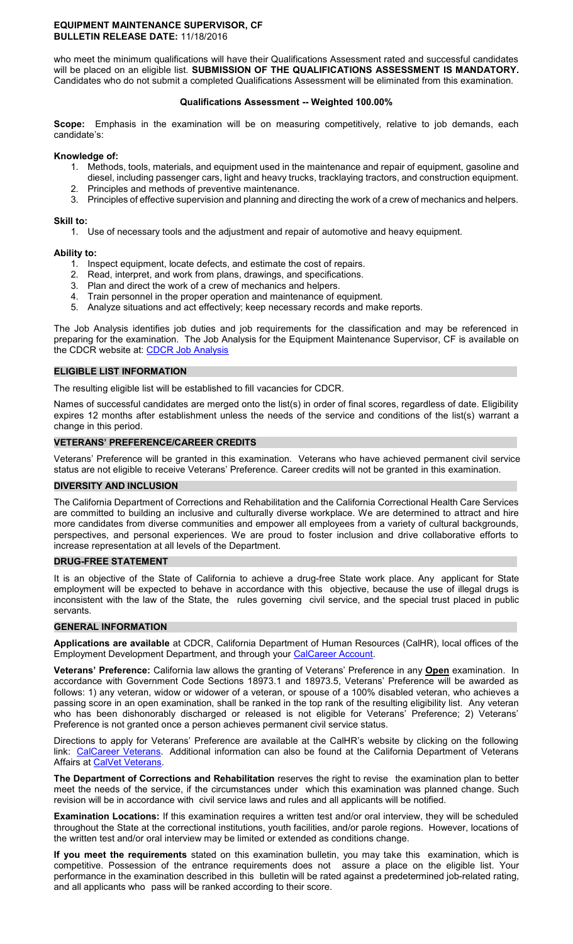#### **EQUIPMENT MAINTENANCE SUPERVISOR, CF BULLETIN RELEASE DATE:** 11/18/2016

who meet the minimum qualifications will have their Qualifications Assessment rated and successful candidates will be placed on an eligible list. **SUBMISSION OF THE QUALIFICATIONS ASSESSMENT IS MANDATORY.**  Candidates who do not submit a completed Qualifications Assessment will be eliminated from this examination.

## **Qualifications Assessment -- Weighted 100.00%**

**Scope:** Emphasis in the examination will be on measuring competitively, relative to job demands, each candidate's:

#### **Knowledge of:**

- 1. Methods, tools, materials, and equipment used in the maintenance and repair of equipment, gasoline and diesel, including passenger cars, light and heavy trucks, tracklaying tractors, and construction equipment.
- 2. Principles and methods of preventive maintenance.
- 3. Principles of effective supervision and planning and directing the work of a crew of mechanics and helpers.

## **Skill to:**

1. Use of necessary tools and the adjustment and repair of automotive and heavy equipment.

## **Ability to:**

- 1. Inspect equipment, locate defects, and estimate the cost of repairs.
- 2. Read, interpret, and work from plans, drawings, and specifications.
- 3. Plan and direct the work of a crew of mechanics and helpers.
- 4. Train personnel in the proper operation and maintenance of equipment.
- 5. Analyze situations and act effectively; keep necessary records and make reports.

The Job Analysis identifies job duties and job requirements for the classification and may be referenced in preparing for the examination. The Job Analysis for the Equipment Maintenance Supervisor, CF is available on the CDCR website at: CDCR Job Analysis

## **ELIGIBLE LIST INFORMATION**

The resulting eligible list will be established to fill vacancies for CDCR.

Names of successful candidates are merged onto the list(s) in order of final scores, regardless of date. Eligibility expires 12 months after establishment unless the needs of the service and conditions of the list(s) warrant a change in this period.

## **VETERANS' PREFERENCE/CAREER CREDITS**

Veterans' Preference will be granted in this examination. Veterans who have achieved permanent civil service status are not eligible to receive Veterans' Preference. Career credits will not be granted in this examination.

## **DIVERSITY AND INCLUSION**

The California Department of Corrections and Rehabilitation and the California Correctional Health Care Services are committed to building an inclusive and culturally diverse workplace. We are determined to attract and hire more candidates from diverse communities and empower all employees from a variety of cultural backgrounds, perspectives, and personal experiences. We are proud to foster inclusion and drive collaborative efforts to increase representation at all levels of the Department.

#### **DRUG-FREE STATEMENT**

It is an objective of the State of California to achieve a drug-free State work place. Any applicant for State employment will be expected to behave in accordance with this objective, because the use of illegal drugs is inconsistent with the law of the State, the rules governing civil service, and the special trust placed in public servants.

#### **GENERAL INFORMATION**

**Applications are available** at CDCR, California Department of Human Resources (CalHR), local offices of the Employment Development Department, and through your [CalCareer Account.](https://www.jobs.ca.gov/)

**Veterans' Preference:** California law allows the granting of Veterans' Preference in any **Open** examination. In accordance with Government Code Sections 18973.1 and 18973.5, Veterans' Preference will be awarded as follows: 1) any veteran, widow or widower of a veteran, or spouse of a 100% disabled veteran, who achieves a passing score in an open examination, shall be ranked in the top rank of the resulting eligibility list. Any veteran who has been dishonorably discharged or released is not eligible for Veterans' Preference; 2) Veterans' Preference is not granted once a person achieves permanent civil service status.

Directions to apply for Veterans' Preference are available at the CalHR's website by clicking on the following link: [CalCareer Veterans.](https://jobs.ca.gov/CalHRPublic/Landing/Veterans.aspx) Additional information can also be found at the California Department of Veterans Affairs at [CalVet Veterans.](http://www.calvet.ca.gov/veteran-services-benefits/employment)

**The Department of Corrections and Rehabilitation** reserves the right to revise the examination plan to better meet the needs of the service, if the circumstances under which this examination was planned change. Such revision will be in accordance with civil service laws and rules and all applicants will be notified.

**Examination Locations:** If this examination requires a written test and/or oral interview, they will be scheduled throughout the State at the correctional institutions, youth facilities, and/or parole regions. However, locations of the written test and/or oral interview may be limited or extended as conditions change.

**If you meet the requirements** stated on this examination bulletin, you may take this examination, which is competitive. Possession of the entrance requirements does not assure a place on the eligible list. Your performance in the examination described in this bulletin will be rated against a predetermined job-related rating, and all applicants who pass will be ranked according to their score.